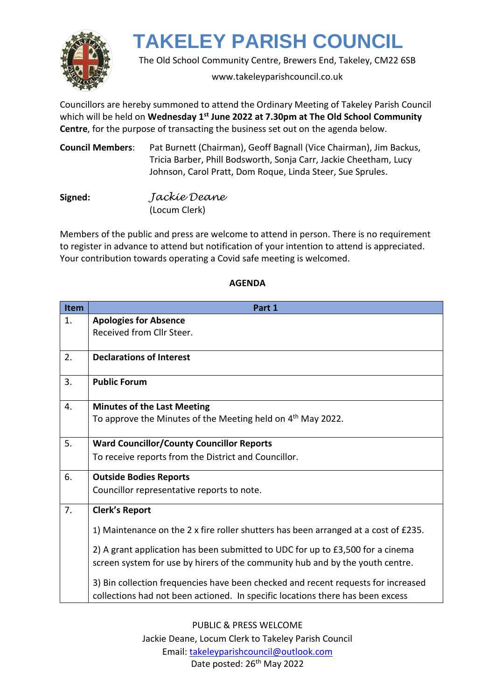

The Old School Community Centre, Brewers End, Takeley, CM22 6SB

www.takeleyparishcouncil.co.uk

Councillors are hereby summoned to attend the Ordinary Meeting of Takeley Parish Council which will be held on Wednesday 1<sup>st</sup> June 2022 at 7.30pm at The Old School Community **Centre**, for the purpose of transacting the business set out on the agenda below.

| Council Members: | Pat Burnett (Chairman), Geoff Bagnall (Vice Chairman), Jim Backus, |
|------------------|--------------------------------------------------------------------|
|                  | Tricia Barber, Phill Bodsworth, Sonja Carr, Jackie Cheetham, Lucy  |
|                  | Johnson, Carol Pratt, Dom Roque, Linda Steer, Sue Sprules.         |

| Signed: | Jackíe Deane  |
|---------|---------------|
|         | (Locum Clerk) |

Members of the public and press are welcome to attend in person. There is no requirement to register in advance to attend but notification of your intention to attend is appreciated. Your contribution towards operating a Covid safe meeting is welcomed.

| <b>Item</b> | Part 1                                                                                                                                                              |
|-------------|---------------------------------------------------------------------------------------------------------------------------------------------------------------------|
| 1.          | <b>Apologies for Absence</b>                                                                                                                                        |
|             | Received from Cllr Steer.                                                                                                                                           |
|             |                                                                                                                                                                     |
| 2.          | <b>Declarations of Interest</b>                                                                                                                                     |
| 3.          | <b>Public Forum</b>                                                                                                                                                 |
| 4.          | <b>Minutes of the Last Meeting</b>                                                                                                                                  |
|             | To approve the Minutes of the Meeting held on 4 <sup>th</sup> May 2022.                                                                                             |
| 5.          | <b>Ward Councillor/County Councillor Reports</b>                                                                                                                    |
|             | To receive reports from the District and Councillor.                                                                                                                |
| 6.          | <b>Outside Bodies Reports</b>                                                                                                                                       |
|             | Councillor representative reports to note.                                                                                                                          |
| 7.          | <b>Clerk's Report</b>                                                                                                                                               |
|             | 1) Maintenance on the 2 x fire roller shutters has been arranged at a cost of £235.                                                                                 |
|             | 2) A grant application has been submitted to UDC for up to £3,500 for a cinema<br>screen system for use by hirers of the community hub and by the youth centre.     |
|             | 3) Bin collection frequencies have been checked and recent requests for increased<br>collections had not been actioned. In specific locations there has been excess |

### **AGENDA**

PUBLIC & PRESS WELCOME Jackie Deane, Locum Clerk to Takeley Parish Council Email: [takeleyparishcouncil@outlook.com](mailto:takeleyparishcouncil@outlook.com) Date posted: 26<sup>th</sup> May 2022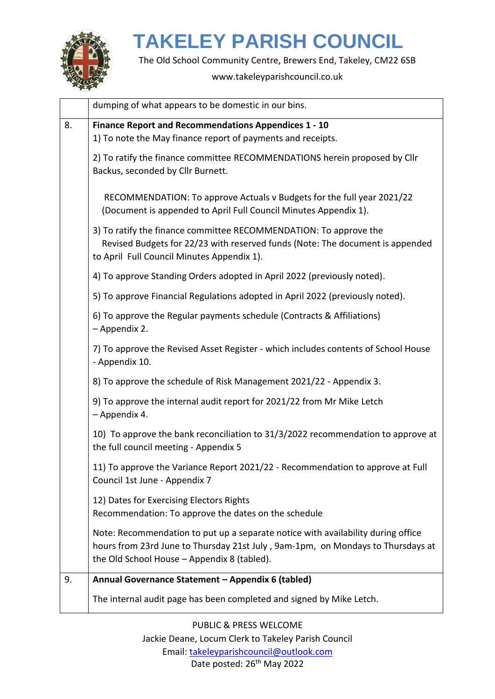

The Old School Community Centre, Brewers End, Takeley, CM22 6SB

#### www.takeleyparishcouncil.co.uk

|    | dumping of what appears to be domestic in our bins.                                                                                                                                                                |
|----|--------------------------------------------------------------------------------------------------------------------------------------------------------------------------------------------------------------------|
| 8. | Finance Report and Recommendations Appendices 1 - 10<br>1) To note the May finance report of payments and receipts.                                                                                                |
|    | 2) To ratify the finance committee RECOMMENDATIONS herein proposed by Cllr<br>Backus, seconded by Cllr Burnett.                                                                                                    |
|    | RECOMMENDATION: To approve Actuals v Budgets for the full year 2021/22<br>(Document is appended to April Full Council Minutes Appendix 1).                                                                         |
|    | 3) To ratify the finance committee RECOMMENDATION: To approve the<br>Revised Budgets for 22/23 with reserved funds (Note: The document is appended<br>to April Full Council Minutes Appendix 1).                   |
|    | 4) To approve Standing Orders adopted in April 2022 (previously noted).                                                                                                                                            |
|    | 5) To approve Financial Regulations adopted in April 2022 (previously noted).                                                                                                                                      |
|    | 6) To approve the Regular payments schedule (Contracts & Affiliations)<br>- Appendix 2.                                                                                                                            |
|    | 7) To approve the Revised Asset Register - which includes contents of School House<br>- Appendix 10.                                                                                                               |
|    | 8) To approve the schedule of Risk Management 2021/22 - Appendix 3.                                                                                                                                                |
|    | 9) To approve the internal audit report for 2021/22 from Mr Mike Letch<br>- Appendix 4.                                                                                                                            |
|    | 10) To approve the bank reconciliation to 31/3/2022 recommendation to approve at<br>the full council meeting - Appendix 5                                                                                          |
|    | 11) To approve the Variance Report 2021/22 - Recommendation to approve at Full<br>Council 1st June - Appendix 7                                                                                                    |
|    | 12) Dates for Exercising Electors Rights<br>Recommendation: To approve the dates on the schedule                                                                                                                   |
|    | Note: Recommendation to put up a separate notice with availability during office<br>hours from 23rd June to Thursday 21st July, 9am-1pm, on Mondays to Thursdays at<br>the Old School House - Appendix 8 (tabled). |
| 9. | Annual Governance Statement - Appendix 6 (tabled)                                                                                                                                                                  |
|    | The internal audit page has been completed and signed by Mike Letch.                                                                                                                                               |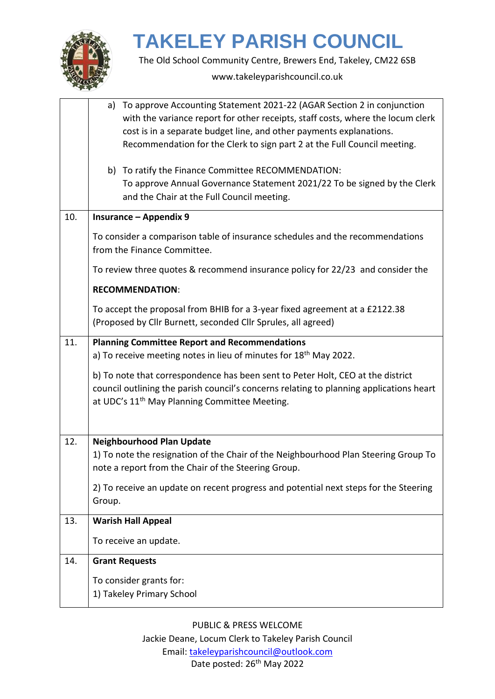

The Old School Community Centre, Brewers End, Takeley, CM22 6SB

www.takeleyparishcouncil.co.uk

|     | To approve Accounting Statement 2021-22 (AGAR Section 2 in conjunction<br>a)<br>with the variance report for other receipts, staff costs, where the locum clerk<br>cost is in a separate budget line, and other payments explanations.<br>Recommendation for the Clerk to sign part 2 at the Full Council meeting.<br>b) To ratify the Finance Committee RECOMMENDATION:<br>To approve Annual Governance Statement 2021/22 To be signed by the Clerk |  |
|-----|------------------------------------------------------------------------------------------------------------------------------------------------------------------------------------------------------------------------------------------------------------------------------------------------------------------------------------------------------------------------------------------------------------------------------------------------------|--|
|     | and the Chair at the Full Council meeting.                                                                                                                                                                                                                                                                                                                                                                                                           |  |
| 10. | <b>Insurance - Appendix 9</b>                                                                                                                                                                                                                                                                                                                                                                                                                        |  |
|     | To consider a comparison table of insurance schedules and the recommendations<br>from the Finance Committee.                                                                                                                                                                                                                                                                                                                                         |  |
|     | To review three quotes & recommend insurance policy for 22/23 and consider the                                                                                                                                                                                                                                                                                                                                                                       |  |
|     | <b>RECOMMENDATION:</b>                                                                                                                                                                                                                                                                                                                                                                                                                               |  |
|     | To accept the proposal from BHIB for a 3-year fixed agreement at a £2122.38<br>(Proposed by Cllr Burnett, seconded Cllr Sprules, all agreed)                                                                                                                                                                                                                                                                                                         |  |
| 11. | <b>Planning Committee Report and Recommendations</b>                                                                                                                                                                                                                                                                                                                                                                                                 |  |
|     | a) To receive meeting notes in lieu of minutes for $18th$ May 2022.                                                                                                                                                                                                                                                                                                                                                                                  |  |
|     | b) To note that correspondence has been sent to Peter Holt, CEO at the district<br>council outlining the parish council's concerns relating to planning applications heart<br>at UDC's 11 <sup>th</sup> May Planning Committee Meeting.                                                                                                                                                                                                              |  |
| 12. | <b>Neighbourhood Plan Update</b>                                                                                                                                                                                                                                                                                                                                                                                                                     |  |
|     | 1) To note the resignation of the Chair of the Neighbourhood Plan Steering Group To<br>note a report from the Chair of the Steering Group.                                                                                                                                                                                                                                                                                                           |  |
|     | 2) To receive an update on recent progress and potential next steps for the Steering                                                                                                                                                                                                                                                                                                                                                                 |  |
|     | Group.                                                                                                                                                                                                                                                                                                                                                                                                                                               |  |
| 13. | <b>Warish Hall Appeal</b>                                                                                                                                                                                                                                                                                                                                                                                                                            |  |
|     | To receive an update.                                                                                                                                                                                                                                                                                                                                                                                                                                |  |
| 14. | <b>Grant Requests</b>                                                                                                                                                                                                                                                                                                                                                                                                                                |  |
|     | To consider grants for:<br>1) Takeley Primary School                                                                                                                                                                                                                                                                                                                                                                                                 |  |
|     |                                                                                                                                                                                                                                                                                                                                                                                                                                                      |  |